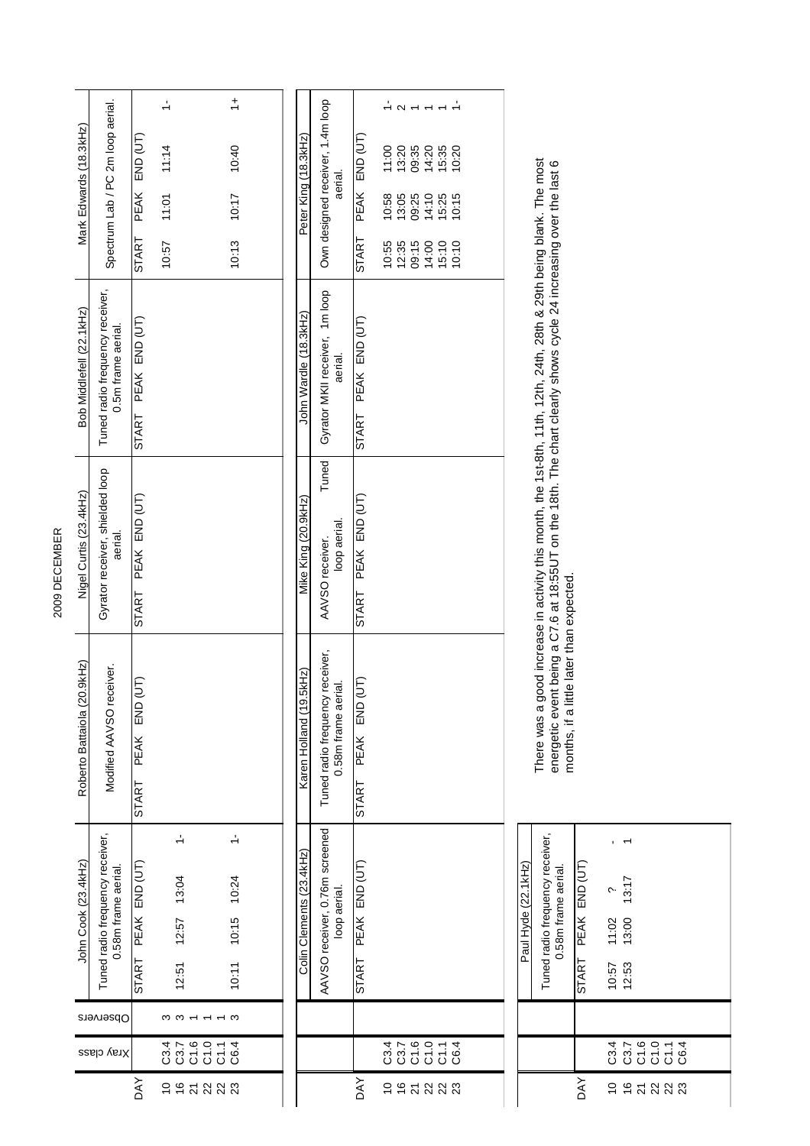2009 DECEMBER 2009 DECEMBER

| Mark Edwards (18.3kHz)      | Spectrum Lab / PC 2m loop aerial.                      | END (UT)<br>PEAK                | $\div$<br>11:01 11:14             |                | $\ddot{+}$<br>10:40<br>10:17      |  | Peter King (18.3kHz)               | Own designed receiver, 1.4m loop<br>aerial.            | END (UT<br>PEAK                  | 11:00<br>$13:20$<br>09:35<br>14:20<br>15:35<br>0:20<br>10:58<br>$73.25$<br>$09.25$<br>$75.25$<br>$75.25$<br>10:15 |
|-----------------------------|--------------------------------------------------------|---------------------------------|-----------------------------------|----------------|-----------------------------------|--|------------------------------------|--------------------------------------------------------|----------------------------------|-------------------------------------------------------------------------------------------------------------------|
|                             |                                                        | START                           | 10:57                             |                | 10:13                             |  |                                    |                                                        | START                            | 10:55<br>$72:35$<br>09:15<br>14:00<br>15:10<br>10:10                                                              |
| Bob Middlefell (22.1kHz)    | Tuned radio frequency receiver,<br>0.5m frame aerial.  | PEAK END (UT)<br><b>START</b>   |                                   |                |                                   |  | John Wardle (18.3kHz)              | Gyrator MKII receiver, 1m loop<br>aerial.              | PEAK END (UT)<br><b>START</b>    |                                                                                                                   |
| Nigel Curtis (23.4kHz)      | Gyrator receiver, shielded loop<br>aerial.             | PEAK END (UT)<br>START          |                                   |                |                                   |  | Mike King (20.9kHz)                | Tuned<br>loop aerial<br>AAVSO receiver.                | PEAK END (UT)<br>START           |                                                                                                                   |
| Roberto Battaiola (20.9kHz) | Modified AAVSO receiver.                               | (JT)<br>으<br>조<br>PEAK<br>START |                                   |                |                                   |  | <b>.5kHz)</b><br>Karen Holland (19 | Tuned radio frequency receiver,<br>0.58m frame aerial. | E<br><b>SHD</b><br>PEAK<br>START |                                                                                                                   |
| John Cook (23.4kHz)         | Tuned radio frequency receiver,<br>0.58m frame aerial. | PEAK END (UT)<br>START          | $\div$<br>13:04<br>12:57<br>12:51 |                | $\div$<br>10:24<br>10:15<br>10:11 |  | Colin Clements (23.4kHz)           | AAVSO receiver, 0.76m screened<br>loop aerial          | PEAK END (UT)<br>START           |                                                                                                                   |
| Observers                   |                                                        |                                 | ო                                 |                | ς                                 |  |                                    |                                                        |                                  |                                                                                                                   |
| Xray class                  |                                                        |                                 |                                   |                |                                   |  |                                    |                                                        |                                  | 3 3 5 5 5 9<br>3 3 5 5 5 9<br>3 9 5 5 5 9                                                                         |
|                             |                                                        | <b>AY</b>                       |                                   | <b>1655333</b> |                                   |  |                                    |                                                        | <b>DAY</b>                       | $\tilde{=}$<br>25222                                                                                              |

| Paul Hyde (22.1kHz) |                                                        |                     |       |               |                |                                     |    |      |  |  |
|---------------------|--------------------------------------------------------|---------------------|-------|---------------|----------------|-------------------------------------|----|------|--|--|
|                     | Tuned radio frequency receiver,<br>0.58m frame aerial. | START PEAK END (UT) |       | 13:17         |                |                                     |    |      |  |  |
|                     |                                                        |                     | 11:02 | 13:00         |                |                                     |    |      |  |  |
|                     |                                                        |                     | 10:57 | 12:53         |                |                                     |    |      |  |  |
|                     |                                                        |                     |       |               |                |                                     |    |      |  |  |
|                     |                                                        |                     | C3.4  | C37           |                | $rac{6}{C}$ $rac{1}{C}$ $rac{1}{C}$ |    | C6.4 |  |  |
|                     |                                                        | <b>DAY</b>          | ă     | $\frac{6}{1}$ | $\overline{2}$ | 22                                  | 22 | 23   |  |  |

There was a good increase in activity this month, the 1st-8th, 11th, 12th, 24th, 28th & 29th being blank. The most<br>energetic event being a C7.6 at 18:55UT on the 18th. The chart clearly shows cycle 24 increasing over the l There was a good increase in activity this month, the 1st-8th, 11th, 12th, 24th, 28th & 29th being blank. The most energetic event being a C7.6 at 18:55UT on the 18th. The chart clearly shows cycle 24 increasing over the last 6 months, if a little later than expected.